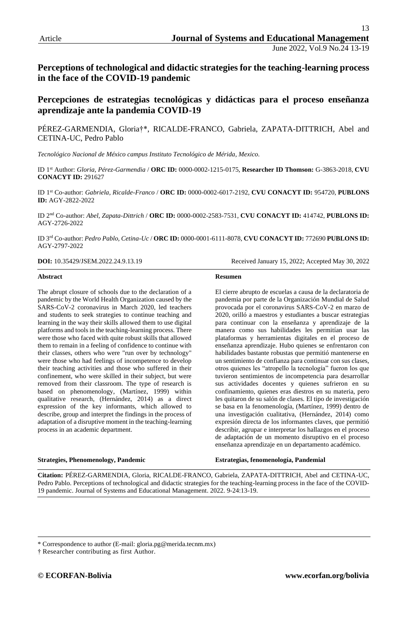**Perceptions of technological and didactic strategies for the teaching-learning process in the face of the COVID-19 pandemic**

## **Percepciones de estrategias tecnológicas y didácticas para el proceso enseñanza aprendizaje ante la pandemia COVID-19**

PÉREZ-GARMENDIA, Gloria†\*, RICALDE-FRANCO, Gabriela, ZAPATA-DITTRICH, Abel and CETINA-UC, Pedro Pablo

*Tecnológico Nacional de México campus Instituto Tecnológico de Mérida, Mexico.*

ID 1st Author: *Gloria, Pérez-Garmendia* / **ORC ID:** 0000-0002-1215-0175, **Researcher ID Thomson:** G-3863-2018, **CVU CONACYT ID:** 291627

ID 1st Co-author: *Gabriela, Ricalde-Franco* / **ORC ID:** 0000-0002-6017-2192, **CVU CONACYT ID:** 954720, **PUBLONS ID:** AGY-2822-2022

ID 2nd Co-author: *Abel, Zapata-Dittrich* / **ORC ID:** 0000-0002-2583-7531, **CVU CONACYT ID:** 414742, **PUBLONS ID:** AGY-2726-2022

ID 3rd Co-author: *Pedro Pablo, Cetina-Uc* / **ORC ID:** 0000-0001-6111-8078, **CVU CONACYT ID:** 772690 **PUBLONS ID:**  AGY-2797-2022

**DOI:** 10.35429/JSEM.2022.24.9.13.19 Received January 15, 2022; Accepted May 30, 2022

#### **Abstract**

The abrupt closure of schools due to the declaration of a pandemic by the World Health Organization caused by the SARS-CoV-2 coronavirus in March 2020, led teachers and students to seek strategies to continue teaching and learning in the way their skills allowed them to use digital platforms and tools in the teaching-learning process. There were those who faced with quite robust skills that allowed them to remain in a feeling of confidence to continue with their classes, others who were "run over by technology" were those who had feelings of incompetence to develop their teaching activities and those who suffered in their confinement, who were skilled in their subject, but were removed from their classroom. The type of research is based on phenomenology, (Martínez, 1999) within qualitative research, (Hernández, 2014) as a direct expression of the key informants, which allowed to describe, group and interpret the findings in the process of adaptation of a disruptive moment in the teaching-learning process in an academic department.

#### **Strategies, Phenomenology, Pandemic**

**Resumen** 

El cierre abrupto de escuelas a causa de la declaratoria de pandemia por parte de la Organización Mundial de Salud provocada por el coronavirus SARS-CoV-2 en marzo de 2020, orilló a maestros y estudiantes a buscar estrategias para continuar con la enseñanza y aprendizaje de la manera como sus habilidades les permitían usar las plataformas y herramientas digitales en el proceso de enseñanza aprendizaje. Hubo quienes se enfrentaron con habilidades bastante robustas que permitió mantenerse en un sentimiento de confianza para continuar con sus clases, otros quienes les "atropello la tecnología" fueron los que tuvieron sentimientos de incompetencia para desarrollar sus actividades docentes y quienes sufrieron en su confinamiento, quienes eras diestros en su materia, pero les quitaron de su salón de clases. El tipo de investigación se basa en la fenomenología, (Martínez, 1999) dentro de una investigación cualitativa, (Hernández, 2014) como expresión directa de los informantes claves, que permitió describir, agrupar e interpretar los hallazgos en el proceso de adaptación de un momento disruptivo en el proceso enseñanza aprendizaje en un departamento académico.

**Estrategias, fenomenología, Pandemial**

**Citation:** PÉREZ-GARMENDIA, Gloria, RICALDE-FRANCO, Gabriela, ZAPATA-DITTRICH, Abel and CETINA-UC, Pedro Pablo. Perceptions of technological and didactic strategies for the teaching-learning process in the face of the COVID-19 pandemic. Journal of Systems and Educational Management. 2022. 9-24:13-19.

† Researcher contributing as first Author.

<sup>\*</sup> Correspondence to author (E-mail: gloria.pg@merida.tecnm.mx)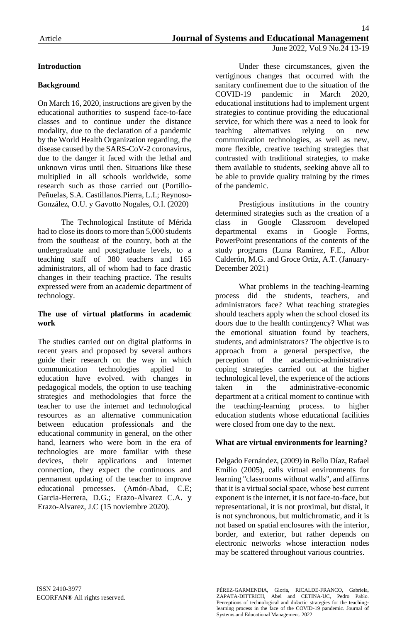# **Introduction**

# **Background**

On March 16, 2020, instructions are given by the educational authorities to suspend face-to-face classes and to continue under the distance modality, due to the declaration of a pandemic by the World Health Organization regarding, the disease caused by the SARS-CoV-2 coronavirus, due to the danger it faced with the lethal and unknown virus until then. Situations like these multiplied in all schools worldwide, some research such as those carried out (Portillo-Peñuelas, S.A. Castillanos.Pierra, L.I.; Reynoso-González, O.U. y Gavotto Nogales, O.I. (2020)

The Technological Institute of Mérida had to close its doors to more than 5,000 students from the southeast of the country, both at the undergraduate and postgraduate levels, to a teaching staff of 380 teachers and 165 administrators, all of whom had to face drastic changes in their teaching practice. The results expressed were from an academic department of technology.

### **The use of virtual platforms in academic work**

The studies carried out on digital platforms in recent years and proposed by several authors guide their research on the way in which communication technologies applied to education have evolved. with changes in pedagogical models, the option to use teaching strategies and methodologies that force the teacher to use the internet and technological resources as an alternative communication between education professionals and the educational community in general, on the other hand, learners who were born in the era of technologies are more familiar with these devices, their applications and internet connection, they expect the continuous and permanent updating of the teacher to improve educational processes. (Amón-Abad, C.E; Garcia-Herrera, D.G.; Erazo-Alvarez C.A. y Erazo-Alvarez, J.C (15 noviembre 2020).

Under these circumstances, given the vertiginous changes that occurred with the sanitary confinement due to the situation of the COVID-19 pandemic in March 2020, educational institutions had to implement urgent strategies to continue providing the educational service, for which there was a need to look for teaching alternatives relying on new communication technologies, as well as new, more flexible, creative teaching strategies that contrasted with traditional strategies, to make them available to students, seeking above all to be able to provide quality training by the times of the pandemic.

Prestigious institutions in the country determined strategies such as the creation of a class in Google Classroom developed departmental exams in Google Forms, PowerPoint presentations of the contents of the study programs (Luna Ramírez, F.E., Albor Calderón, M.G. and Groce Ortiz, A.T. (January-December 2021)

What problems in the teaching-learning process did the students, teachers, and administrators face? What teaching strategies should teachers apply when the school closed its doors due to the health contingency? What was the emotional situation found by teachers, students, and administrators? The objective is to approach from a general perspective, the perception of the academic-administrative coping strategies carried out at the higher technological level, the experience of the actions taken in the administrative-economic department at a critical moment to continue with the teaching-learning process. to higher education students whose educational facilities were closed from one day to the next.

## **What are virtual environments for learning?**

Delgado Fernández, (2009) in Bello Díaz, Rafael Emilio (2005), calls virtual environments for learning "classrooms without walls", and affirms that it is a virtual social space, whose best current exponent is the internet, it is not face-to-face, but representational, it is not proximal, but distal, it is not synchronous, but multichromatic, and it is not based on spatial enclosures with the interior, border, and exterior, but rather depends on electronic networks whose interaction nodes may be scattered throughout various countries.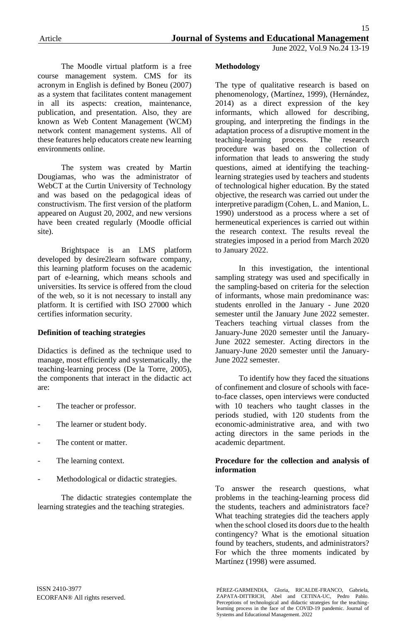The Moodle virtual platform is a free course management system. CMS for its acronym in English is defined by Boneu (2007) as a system that facilitates content management in all its aspects: creation, maintenance, publication, and presentation. Also, they are known as Web Content Management (WCM) network content management systems. All of these features help educators create new learning environments online.

The system was created by Martin Dougiamas, who was the administrator of WebCT at the Curtin University of Technology and was based on the pedagogical ideas of constructivism. The first version of the platform appeared on August 20, 2002, and new versions have been created regularly (Moodle official site).

Brightspace is an LMS platform developed by desire2learn software company, this learning platform focuses on the academic part of e-learning, which means schools and universities. Its service is offered from the cloud of the web, so it is not necessary to install any platform. It is certified with ISO 27000 which certifies information security.

## **Definition of teaching strategies**

Didactics is defined as the technique used to manage, most efficiently and systematically, the teaching-learning process (De la Torre, 2005), the components that interact in the didactic act are:

- The teacher or professor.
- The learner or student body.
- The content or matter.
- The learning context.
- Methodological or didactic strategies.

The didactic strategies contemplate the learning strategies and the teaching strategies.

## **Methodology**

The type of qualitative research is based on phenomenology, (Martínez, 1999), (Hernández, 2014) as a direct expression of the key informants, which allowed for describing, grouping, and interpreting the findings in the adaptation process of a disruptive moment in the teaching-learning process. The research procedure was based on the collection of information that leads to answering the study questions, aimed at identifying the teachinglearning strategies used by teachers and students of technological higher education. By the stated objective, the research was carried out under the interpretive paradigm (Cohen, L. and Manion, L. 1990) understood as a process where a set of hermeneutical experiences is carried out within the research context. The results reveal the strategies imposed in a period from March 2020 to January 2022.

In this investigation, the intentional sampling strategy was used and specifically in the sampling-based on criteria for the selection of informants, whose main predominance was: students enrolled in the January - June 2020 semester until the January June 2022 semester. Teachers teaching virtual classes from the January-June 2020 semester until the January-June 2022 semester. Acting directors in the January-June 2020 semester until the January-June 2022 semester.

To identify how they faced the situations of confinement and closure of schools with faceto-face classes, open interviews were conducted with 10 teachers who taught classes in the periods studied, with 120 students from the economic-administrative area, and with two acting directors in the same periods in the academic department.

### **Procedure for the collection and analysis of information**

To answer the research questions, what problems in the teaching-learning process did the students, teachers and administrators face? What teaching strategies did the teachers apply when the school closed its doors due to the health contingency? What is the emotional situation found by teachers, students, and administrators? For which the three moments indicated by Martínez (1998) were assumed.

PÉREZ-GARMENDIA, Gloria, RICALDE-FRANCO, Gabriela, ZAPATA-DITTRICH, Abel and CETINA-UC, Pedro Pablo. Perceptions of technological and didactic strategies for the teachinglearning process in the face of the COVID-19 pandemic. Journal of Systems and Educational Management. 2022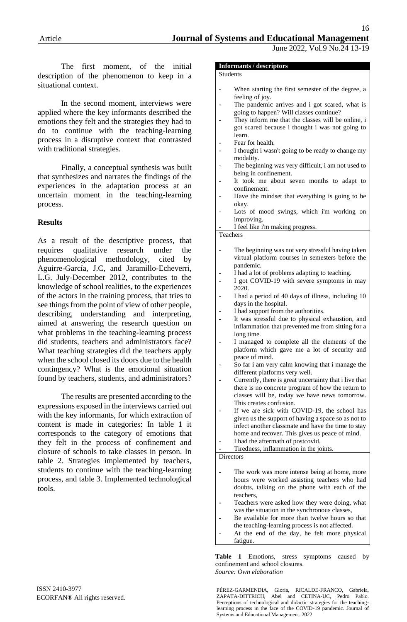The first moment, of the initial description of the phenomenon to keep in a situational context.

In the second moment, interviews were applied where the key informants described the emotions they felt and the strategies they had to do to continue with the teaching-learning process in a disruptive context that contrasted with traditional strategies.

Finally, a conceptual synthesis was built that synthesizes and narrates the findings of the experiences in the adaptation process at an uncertain moment in the teaching-learning process.

### **Results**

As a result of the descriptive process, that requires qualitative research under the phenomenological methodology, cited by Aguirre-García, J.C, and Jaramillo-Echeverri, L.G. July-December 2012, contributes to the knowledge of school realities, to the experiences of the actors in the training process, that tries to see things from the point of view of other people, describing, understanding and interpreting, aimed at answering the research question on what problems in the teaching-learning process did students, teachers and administrators face? What teaching strategies did the teachers apply when the school closed its doors due to the health contingency? What is the emotional situation found by teachers, students, and administrators?

The results are presented according to the expressions exposed in the interviews carried out with the key informants, for which extraction of content is made in categories: In table 1 it corresponds to the category of emotions that they felt in the process of confinement and closure of schools to take classes in person. In table 2. Strategies implemented by teachers, students to continue with the teaching-learning process, and table 3. Implemented technological tools.

Students

When starting the first semester of the degree, a feeling of joy.

June 2022, Vol.9 No.24 13-19

- The pandemic arrives and i got scared, what is going to happen? Will classes continue?
- They inform me that the classes will be online, i got scared because i thought i was not going to learn.
- Fear for health.
- I thought i wasn't going to be ready to change my modality.
- The beginning was very difficult, i am not used to being in confinement.
- It took me about seven months to adapt to confinement.
- Have the mindset that everything is going to be okay.
- Lots of mood swings, which i'm working on improving.
- I feel like i'm making progress.

**Teachers** 

- The beginning was not very stressful having taken virtual platform courses in semesters before the pandemic.
- I had a lot of problems adapting to teaching.
- I got COVID-19 with severe symptoms in may 2020.
- I had a period of 40 days of illness, including 10 days in the hospital.
- I had support from the authorities.
- It was stressful due to physical exhaustion, and inflammation that prevented me from sitting for a long time.
- I managed to complete all the elements of the platform which gave me a lot of security and peace of mind.
- So far i am very calm knowing that i manage the different platforms very well.
- Currently, there is great uncertainty that i live that there is no concrete program of how the return to classes will be, today we have news tomorrow. This creates confusion.
- If we are sick with COVID-19, the school has given us the support of having a space so as not to infect another classmate and have the time to stay home and recover. This gives us peace of mind. I had the aftermath of postcovid.
- Tiredness, inflammation in the joints.

**Directors** 

- The work was more intense being at home, more hours were worked assisting teachers who had doubts, talking on the phone with each of the teachers,
- Teachers were asked how they were doing, what was the situation in the synchronous classes,
- Be available for more than twelve hours so that the teaching-learning process is not affected.
- At the end of the day, he felt more physical fatigue.

**Table 1** Emotions, stress symptoms caused by confinement and school closures. *Source: Own elaboration*

PÉREZ-GARMENDIA, Gloria, RICALDE-FRANCO, Gabriela, ZAPATA-DITTRICH, Abel and CETINA-UC, Pedro Pablo. Perceptions of technological and didactic strategies for the teachinglearning process in the face of the COVID-19 pandemic. Journal of Systems and Educational Management. 2022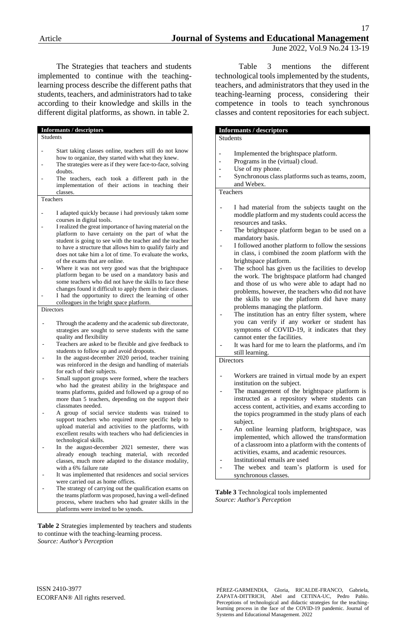The Strategies that teachers and students implemented to continue with the teachinglearning process describe the different paths that students, teachers, and administrators had to take according to their knowledge and skills in the different digital platforms, as shown. in table 2.

### **Informants / descriptors**

Students

- Start taking classes online, teachers still do not know how to organize, they started with what they knew.
- The strategies were as if they were face-to-face, solving doubts.
- The teachers, each took a different path in the implementation of their actions in teaching their classes.

Teachers

- I adapted quickly because i had previously taken some courses in digital tools.
- I realized the great importance of having material on the platform to have certainty on the part of what the student is going to see with the teacher and the teacher to have a structure that allows him to qualify fairly and does not take him a lot of time. To evaluate the works, of the exams that are online.
- Where it was not very good was that the brightspace platform began to be used on a mandatory basis and some teachers who did not have the skills to face these changes found it difficult to apply them in their classes. I had the opportunity to direct the learning of other
	- colleagues in the bright space platform.

Directors

- Through the academy and the academic sub directorate, strategies are sought to serve students with the same quality and flexibility
- Teachers are asked to be flexible and give feedback to students to follow up and avoid dropouts.
- In the august-december 2020 period, teacher training was reinforced in the design and handling of materials for each of their subjects.
- Small support groups were formed, where the teachers who had the greatest ability in the brightspace and teams platforms, guided and followed up a group of no more than 5 teachers, depending on the support their classmates needed.
- A group of social service students was trained to support teachers who required more specific help to upload material and activities to the platforms, with excellent results with teachers who had deficiencies in technological skills.
- In the august-december 2021 semester, there was already enough teaching material, with recorded classes, much more adapted to the distance modality, with a 6% failure rate
- It was implemented that residences and social services were carried out as home offices.
- The strategy of carrying out the qualification exams on the teams platform was proposed, having a well-defined process, where teachers who had greater skills in the platforms were invited to be synods.

**Table 2** Strategies implemented by teachers and students to continue with the teaching-learning process. *Source: Author's Perception*

Table 3 mentions the different technological tools implemented by the students, teachers, and administrators that they used in the teaching-learning process, considering their competence in tools to teach synchronous classes and content repositories for each subject.

#### **Informants / descriptors**

Students

- Implemented the brightspace platform.
- Programs in the (virtual) cloud.
- Use of my phone.
- Synchronous class platforms such as teams, zoom, and Webex.

Teachers

- I had material from the subjects taught on the moddle platform and my students could access the resources and tasks.
- The brightspace platform began to be used on a mandatory basis.
- I followed another platform to follow the sessions in class, i combined the zoom platform with the brightspace platform.
- The school has given us the facilities to develop the work. The brightspace platform had changed and those of us who were able to adapt had no problems, however, the teachers who did not have the skills to use the platform did have many problems managing the platform.
- The institution has an entry filter system, where you can verify if any worker or student has symptoms of COVID-19, it indicates that they cannot enter the facilities.
- It was hard for me to learn the platforms, and i'm still learning.

### **Directors**

- Workers are trained in virtual mode by an expert institution on the subject.
- The management of the brightspace platform is instructed as a repository where students can access content, activities, and exams according to the topics programmed in the study plans of each subject.
- An online learning platform, brightspace, was implemented, which allowed the transformation of a classroom into a platform with the contents of activities, exams, and academic resources.
- Institutional emails are used
- The webex and team's platform is used for synchronous classes.

#### **Table 3** Technological tools implemented *Source: Author's Perception*

PÉREZ-GARMENDIA, Gloria, RICALDE-FRANCO, Gabriela, ZAPATA-DITTRICH, Abel and CETINA-UC, Pedro Pablo. Perceptions of technological and didactic strategies for the teachinglearning process in the face of the COVID-19 pandemic. Journal of Systems and Educational Management. 2022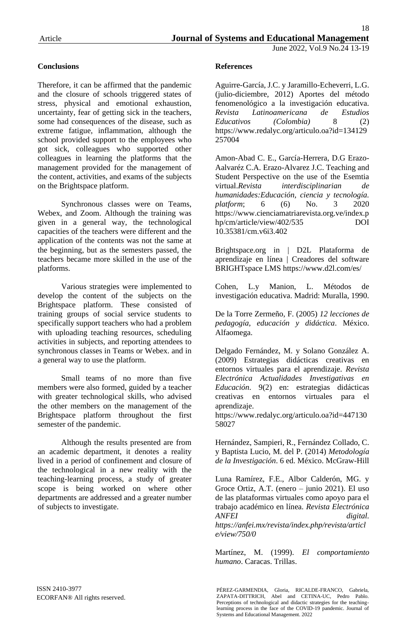## **Conclusions**

Therefore, it can be affirmed that the pandemic and the closure of schools triggered states of stress, physical and emotional exhaustion, uncertainty, fear of getting sick in the teachers, some had consequences of the disease, such as extreme fatigue, inflammation, although the school provided support to the employees who got sick, colleagues who supported other colleagues in learning the platforms that the management provided for the management of the content, activities, and exams of the subjects on the Brightspace platform.

Synchronous classes were on Teams, Webex, and Zoom. Although the training was given in a general way, the technological capacities of the teachers were different and the application of the contents was not the same at the beginning, but as the semesters passed, the teachers became more skilled in the use of the platforms.

Various strategies were implemented to develop the content of the subjects on the Brightspace platform. These consisted of training groups of social service students to specifically support teachers who had a problem with uploading teaching resources, scheduling activities in subjects, and reporting attendees to synchronous classes in Teams or Webex. and in a general way to use the platform.

Small teams of no more than five members were also formed, guided by a teacher with greater technological skills, who advised the other members on the management of the Brightspace platform throughout the first semester of the pandemic.

Although the results presented are from an academic department, it denotes a reality lived in a period of confinement and closure of the technological in a new reality with the teaching-learning process, a study of greater scope is being worked on where other departments are addressed and a greater number of subjects to investigate.

## **References**

Aguirre-García, J.C. y Jaramillo-Echeverri, L.G. (julio-diciembre, 2012) Aportes del método fenomenológico a la investigación educativa. *Revista Latinoamericana de Estudios Educativos (Colombia)* 8 (2) https://www.redalyc.org/articulo.oa?id=134129 257004

Amon-Abad C. E., García-Herrera, D.G Erazo-Aalvaréz C.A. Erazo-Alvarez J.C. Teaching and Student Perspective on the use of the Esemtia virtual.*Revista interdisciplinarian de humanidades:Educación, ciencia y tecnología. platform*; 6 (6) No. 3 2020 https://www.cienciamatriarevista.org.ve/index.p hp/cm/article/view/402/535 DOI 10.35381/cm.v6i3.402

Brightspace.org in | D2L Plataforma de aprendizaje en línea | Creadores del software BRIGHTspace LMS https://www.d2l.com/es/

Cohen, L.y Manion, L. Métodos de investigación educativa. Madrid: Muralla, 1990.

De la Torre Zermeño, F. (2005) *12 lecciones de pedagogía, educación y didáctica*. México. Alfaomega.

Delgado Fernández, M. y Solano González A. (2009) Estrategias didácticas creativas en entornos virtuales para el aprendizaje. *Revista Electrónica Actualidades Investigativas en Educación*. 9(2) en: estrategias didácticas creativas en entornos virtuales para el aprendizaje.

https://www.redalyc.org/articulo.oa?id=447130 58027

Hernández, Sampieri, R., Fernández Collado, C. y Baptista Lucio, M. del P. (2014) *Metodología de la Investigación*. 6 ed. México. McGraw-Hill

Luna Ramírez, F.E., Albor Calderón, MG. y Groce Ortiz, A.T. (enero – junio 2021). El uso de las plataformas virtuales como apoyo para el trabajo académico en línea. *Revista Electrónica ANFEI digital.*

*https://anfei.mx/revista/index.php/revista/articl e/view/750/0*

Martínez, M. (1999). *El comportamiento humano*. Caracas. Trillas.